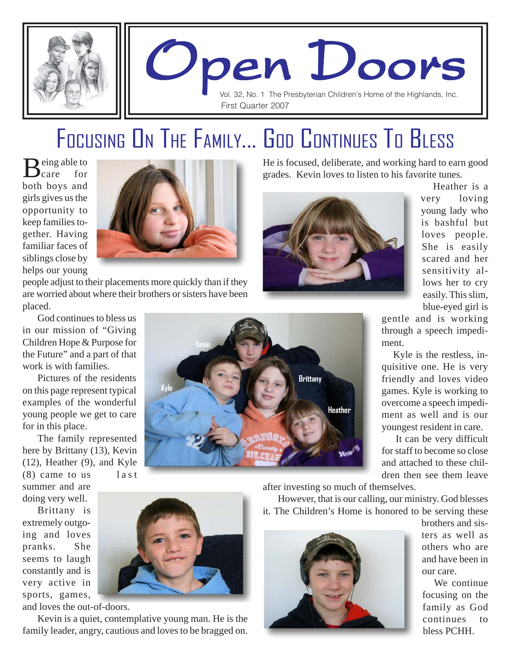

# Open Doors Open Doors Open Doors

Vol. 32, No. 1 The Presbyterian Children's Home of the Highlands, Inc. First Quarter 2007

### FOCUSING ON THE FAMILY... GOD CONTINUES TO BLESS

eing able to<br>care for  $\sum_{\text{care}}$ both boys and girls gives us the opportunity to keep families together. Having familiar faces of siblings close by helps our young



people adjust to their placements more quickly than if they are worried about where their brothers or sisters have been placed.

God continues to bless us in our mission of "Giving Children Hope & Purpose for the Future" and a part of that work is with families.

Pictures of the residents on this page represent typical examples of the wonderful young people we get to care for in this place.

The family represented here by Brittany (13), Kevin (12), Heather (9), and Kyle

 $(8)$  came to us last summer and are doing very well.

Brittany is extremely outgoing and loves pranks. She seems to laugh constantly and is very active in sports, games,

and loves the out-of-doors.

Kevin is a quiet, contemplative young man. He is the family leader, angry, cautious and loves to be bragged on.

He is focused, deliberate, and working hard to earn good grades. Kevin loves to listen to his favorite tunes.



 Heather is a very loving young lady who is bashful but loves people. She is easily scared and her sensitivity allows her to cry easily. This slim, blue-eyed girl is

gentle and is working through a speech impediment.

 Kyle is the restless, inquisitive one. He is very friendly and loves video games. Kyle is working to overcome a speech impediment as well and is our youngest resident in care.

 It can be very difficult for staff to become so close and attached to these children then see them leave





after investing so much of themselves.

However, that is our calling, our ministry. God blesses it. The Children's Home is honored to be serving these



brothers and sisters as well as others who are and have been in our care.

 We continue focusing on the family as God continues to bless PCHH.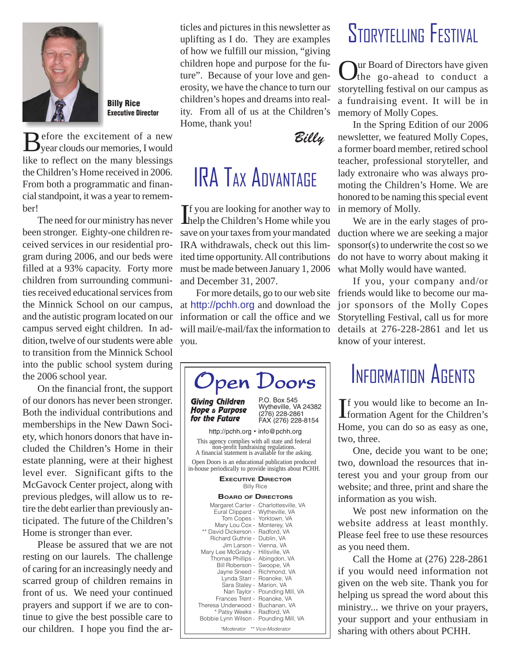

Billy Rice Executive Director

 $B_{\text{year cloud}}$ year clouds our memories, I would like to reflect on the many blessings the Children's Home received in 2006. From both a programmatic and financial standpoint, it was a year to remember!

The need for our ministry has never been stronger. Eighty-one children received services in our residential program during 2006, and our beds were filled at a 93% capacity. Forty more children from surrounding communities received educational services from the Minnick School on our campus, and the autistic program located on our campus served eight children. In addition, twelve of our students were able to transition from the Minnick School into the public school system during the 2006 school year.

On the financial front, the support of our donors has never been stronger. Both the individual contributions and memberships in the New Dawn Society, which honors donors that have included the Children's Home in their estate planning, were at their highest level ever. Significant gifts to the McGavock Center project, along with previous pledges, will allow us to retire the debt earlier than previously anticipated. The future of the Children's Home is stronger than ever.

Please be assured that we are not resting on our laurels. The challenge of caring for an increasingly needy and scarred group of children remains in front of us. We need your continued prayers and support if we are to continue to give the best possible care to our children. I hope you find the articles and pictures in this newsletter as uplifting as I do. They are examples of how we fulfill our mission, "giving children hope and purpose for the future". Because of your love and generosity, we have the chance to turn our children's hopes and dreams into reality. From all of us at the Children's Home, thank you!



### IRA TAX ADVANTAGE

If you are looking for another way to<br>help the Children's Home while you  $\blacksquare$  f you are looking for another way to save on your taxes from your mandated IRA withdrawals, check out this limited time opportunity. All contributions must be made between January 1, 2006 and December 31, 2007.

For more details, go to our web site at http://pchh.org and download the information or call the office and we will mail/e-mail/fax the information to you.



#### *\*Moderator \*\* Vice-Moderator*

#### STORYTELLING FESTIVAL

Our Board of Directors have given the go-ahead to conduct a storytelling festival on our campus as a fundraising event. It will be in memory of Molly Copes.

In the Spring Edition of our 2006 newsletter, we featured Molly Copes, a former board member, retired school teacher, professional storyteller, and lady extronaire who was always promoting the Children's Home. We are honored to be naming this special event in memory of Molly.

We are in the early stages of production where we are seeking a major sponsor(s) to underwrite the cost so we do not have to worry about making it what Molly would have wanted.

If you, your company and/or friends would like to become our major sponsors of the Molly Copes Storytelling Festival, call us for more details at 276-228-2861 and let us know of your interest.

#### INFORMATION AGENTS

If you would like to become an In-<br>formation Agent for the Children's **T** f you would like to become an In-Home, you can do so as easy as one, two, three.

One, decide you want to be one; two, download the resources that interest you and your group from our website; and three, print and share the information as you wish.

We post new information on the website address at least monthly. Please feel free to use these resources as you need them.

Call the Home at (276) 228-2861 if you would need information not given on the web site. Thank you for helping us spread the word about this ministry... we thrive on your prayers, your support and your enthusiam in sharing with others about PCHH.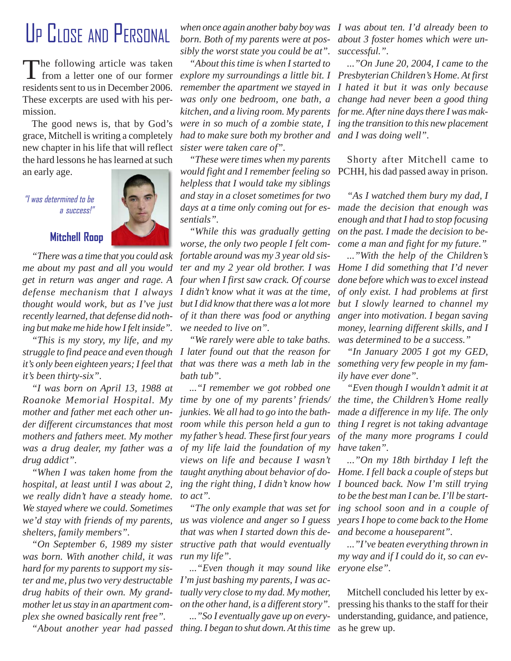#### UP CLOSE AND PERSONAL

The following article was taken from a letter one of our former residents sent to us in December 2006. These excerpts are used with his permission.

The good news is, that by God's grace, Mitchell is writing a completely new chapter in his life that will reflect the hard lessons he has learned at such an early age.

"I was determined to be a success!"

#### **Mitchell Roop**

*"There was a time that you could ask me about my past and all you would get in return was anger and rage. A defense mechanism that I always thought would work, but as I've just recently learned, that defense did nothing but make me hide how I felt inside".*

*"This is my story, my life, and my it's been thirty-six".*

*"I was born on April 13, 1988 at Roanoke Memorial Hospital. My mother and father met each other under different circumstances that most mothers and fathers meet. My mother was a drug dealer, my father was a drug addict".*

*"When I was taken home from the hospital, at least until I was about 2, we really didn't have a steady home. We stayed where we could. Sometimes we'd stay with friends of my parents, shelters, family members".*

*"On September 6, 1989 my sister was born. With another child, it was hard for my parents to support my sister and me, plus two very destructable drug habits of their own. My grandmother let us stay in an apartment complex she owned basically rent free".*

*born. Both of my parents were at possibly the worst state you could be at".*

*"About this time is when I started to explore my surroundings a little bit. I Presbyterian Children's Home. At first remember the apartment we stayed in I hated it but it was only because was only one bedroom, one bath, a change had never been a good thing kitchen, and a living room. My parents for me. After nine days there I was makwere in so much of a zombie state, I ing the transition to this new placement* had to make sure both my brother and and I was doing well". *sister were taken care of".*

*"These were times when my parents would fight and I remember feeling so* PCHH, his dad passed away in prison. *helpless that I would take my siblings and stay in a closet sometimes for two days at a time only coming out for es-made the decision that enough was sentials".*

*"While this was gradually getting worse, the only two people I felt comfortable around was my 3 year old sister and my 2 year old brother. I was four when I first saw crack. Of course I didn't know what it was at the time, but I did know that there was a lot more of it than there was food or anything we needed to live on".*

*struggle to find peace and even though I later found out that the reason for "We rarely were able to take baths. bath tub".*

> *..."I remember we got robbed one time by one of my parents' friends/ junkies. We all had to go into the bathroom while this person held a gun to my father's head. These first four years of my life laid the foundation of my views on life and because I wasn't taught anything about behavior of doing the right thing, I didn't know how to act".*

*"The only example that was set for us was violence and anger so I guess that was when I started down this destructive path that would eventually run my life".*

*..."Even though it may sound like eryone else". I'm just bashing my parents, I was actually very close to my dad. My mother, on the other hand, is a different story".*

*"About another year had passed thing. I began to shut down. At this time ..."So I eventually gave up on every-*

*when once again another baby boy was I was about ten. I'd already been to about 3 foster homes which were unsuccessful.".*

*..."On June 20, 2004, I came to the*

Shorty after Mitchell came to

*"As I watched them bury my dad, I enough and that I had to stop focusing on the past. I made the decision to become a man and fight for my future."*

*..."With the help of the Children's Home I did something that I'd never done before which was to excel instead of only exist. I had problems at first but I slowly learned to channel my anger into motivation. I began saving money, learning different skills, and I was determined to be a success."*

it's only been eighteen years; I feel that that was there was a meth lab in the something very few people in my fam-*"In January 2005 I got my GED, ily have ever done".*

> *"Even though I wouldn't admit it at the time, the Children's Home really made a difference in my life. The only thing I regret is not taking advantage of the many more programs I could have taken".*

> *..."On my 18th birthday I left the Home. I fell back a couple of steps but I bounced back. Now I'm still trying to be the best man I can be. I'll be starting school soon and in a couple of years I hope to come back to the Home and become a houseparent".*

> *..."I've beaten everything thrown in my way and if I could do it, so can ev-*

> Mitchell concluded his letter by expressing his thanks to the staff for their understanding, guidance, and patience, as he grew up.